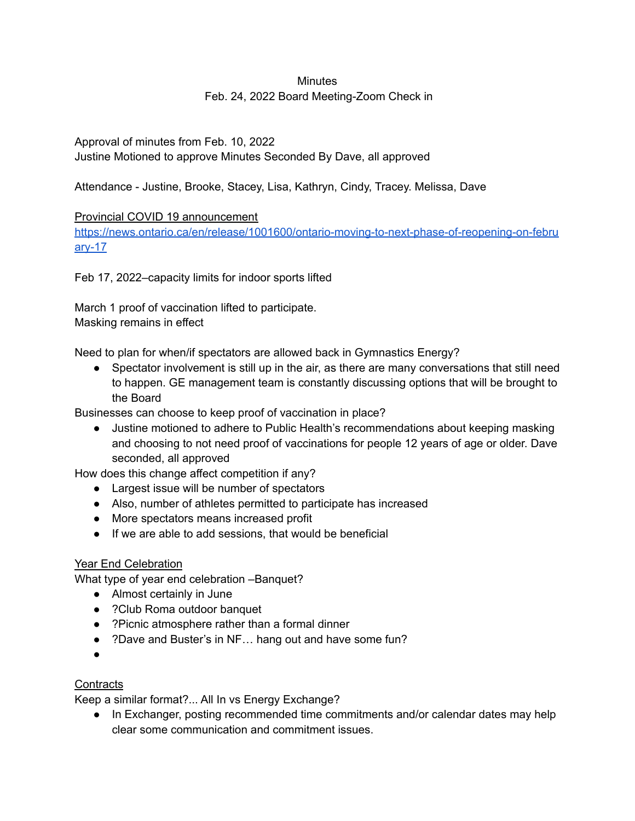# **Minutes** Feb. 24, 2022 Board Meeting-Zoom Check in

Approval of minutes from Feb. 10, 2022 Justine Motioned to approve Minutes Seconded By Dave, all approved

Attendance - Justine, Brooke, Stacey, Lisa, Kathryn, Cindy, Tracey. Melissa, Dave

# Provincial COVID 19 announcement

[https://news.ontario.ca/en/release/1001600/ontario-moving-to-next-phase-of-reopening-on-febru](https://news.ontario.ca/en/release/1001600/ontario-moving-to-next-phase-of-reopening-on-february-17) [ary-17](https://news.ontario.ca/en/release/1001600/ontario-moving-to-next-phase-of-reopening-on-february-17)

Feb 17, 2022–capacity limits for indoor sports lifted

March 1 proof of vaccination lifted to participate. Masking remains in effect

Need to plan for when/if spectators are allowed back in Gymnastics Energy?

● Spectator involvement is still up in the air, as there are many conversations that still need to happen. GE management team is constantly discussing options that will be brought to the Board

Businesses can choose to keep proof of vaccination in place?

● Justine motioned to adhere to Public Health's recommendations about keeping masking and choosing to not need proof of vaccinations for people 12 years of age or older. Dave seconded, all approved

How does this change affect competition if any?

- Largest issue will be number of spectators
- Also, number of athletes permitted to participate has increased
- More spectators means increased profit
- If we are able to add sessions, that would be beneficial

# Year End Celebration

What type of year end celebration –Banquet?

- Almost certainly in June
- ?Club Roma outdoor banquet
- ?Picnic atmosphere rather than a formal dinner
- ?Dave and Buster's in NF... hang out and have some fun?
- $\bullet$

#### **Contracts**

Keep a similar format?... All In vs Energy Exchange?

● In Exchanger, posting recommended time commitments and/or calendar dates may help clear some communication and commitment issues.